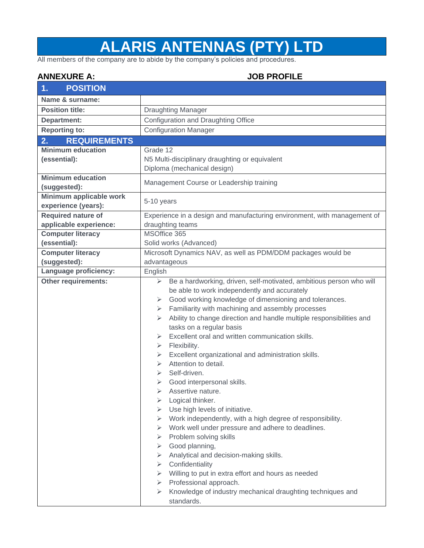## **ALARIS ANTENNAS (PTY) LTD**

All members of the company are to abide by the company's policies and procedures.

## **ANNEXURE A: JOB PROFILE**

| <b>POSITION</b><br>1.     |                                                                                                                                                                                                                                                                                                                                                                                                                                                                                                                                                                                                                                                                                                                                                                                                                                                                                                                                                                                                                                                                                                                       |  |  |  |
|---------------------------|-----------------------------------------------------------------------------------------------------------------------------------------------------------------------------------------------------------------------------------------------------------------------------------------------------------------------------------------------------------------------------------------------------------------------------------------------------------------------------------------------------------------------------------------------------------------------------------------------------------------------------------------------------------------------------------------------------------------------------------------------------------------------------------------------------------------------------------------------------------------------------------------------------------------------------------------------------------------------------------------------------------------------------------------------------------------------------------------------------------------------|--|--|--|
| Name & surname:           |                                                                                                                                                                                                                                                                                                                                                                                                                                                                                                                                                                                                                                                                                                                                                                                                                                                                                                                                                                                                                                                                                                                       |  |  |  |
| <b>Position title:</b>    | <b>Draughting Manager</b>                                                                                                                                                                                                                                                                                                                                                                                                                                                                                                                                                                                                                                                                                                                                                                                                                                                                                                                                                                                                                                                                                             |  |  |  |
| Department:               | Configuration and Draughting Office                                                                                                                                                                                                                                                                                                                                                                                                                                                                                                                                                                                                                                                                                                                                                                                                                                                                                                                                                                                                                                                                                   |  |  |  |
| <b>Reporting to:</b>      | <b>Configuration Manager</b>                                                                                                                                                                                                                                                                                                                                                                                                                                                                                                                                                                                                                                                                                                                                                                                                                                                                                                                                                                                                                                                                                          |  |  |  |
| <b>REQUIREMENTS</b><br>2. |                                                                                                                                                                                                                                                                                                                                                                                                                                                                                                                                                                                                                                                                                                                                                                                                                                                                                                                                                                                                                                                                                                                       |  |  |  |
| <b>Minimum education</b>  | Grade 12                                                                                                                                                                                                                                                                                                                                                                                                                                                                                                                                                                                                                                                                                                                                                                                                                                                                                                                                                                                                                                                                                                              |  |  |  |
| (essential):              | N5 Multi-disciplinary draughting or equivalent                                                                                                                                                                                                                                                                                                                                                                                                                                                                                                                                                                                                                                                                                                                                                                                                                                                                                                                                                                                                                                                                        |  |  |  |
|                           | Diploma (mechanical design)                                                                                                                                                                                                                                                                                                                                                                                                                                                                                                                                                                                                                                                                                                                                                                                                                                                                                                                                                                                                                                                                                           |  |  |  |
| <b>Minimum education</b>  |                                                                                                                                                                                                                                                                                                                                                                                                                                                                                                                                                                                                                                                                                                                                                                                                                                                                                                                                                                                                                                                                                                                       |  |  |  |
| (suggested):              | Management Course or Leadership training                                                                                                                                                                                                                                                                                                                                                                                                                                                                                                                                                                                                                                                                                                                                                                                                                                                                                                                                                                                                                                                                              |  |  |  |
| Minimum applicable work   |                                                                                                                                                                                                                                                                                                                                                                                                                                                                                                                                                                                                                                                                                                                                                                                                                                                                                                                                                                                                                                                                                                                       |  |  |  |
| experience (years):       | 5-10 years                                                                                                                                                                                                                                                                                                                                                                                                                                                                                                                                                                                                                                                                                                                                                                                                                                                                                                                                                                                                                                                                                                            |  |  |  |
| <b>Required nature of</b> | Experience in a design and manufacturing environment, with management of                                                                                                                                                                                                                                                                                                                                                                                                                                                                                                                                                                                                                                                                                                                                                                                                                                                                                                                                                                                                                                              |  |  |  |
| applicable experience:    | draughting teams                                                                                                                                                                                                                                                                                                                                                                                                                                                                                                                                                                                                                                                                                                                                                                                                                                                                                                                                                                                                                                                                                                      |  |  |  |
| <b>Computer literacy</b>  | MSOffice 365                                                                                                                                                                                                                                                                                                                                                                                                                                                                                                                                                                                                                                                                                                                                                                                                                                                                                                                                                                                                                                                                                                          |  |  |  |
| (essential):              | Solid works (Advanced)                                                                                                                                                                                                                                                                                                                                                                                                                                                                                                                                                                                                                                                                                                                                                                                                                                                                                                                                                                                                                                                                                                |  |  |  |
| <b>Computer literacy</b>  | Microsoft Dynamics NAV, as well as PDM/DDM packages would be                                                                                                                                                                                                                                                                                                                                                                                                                                                                                                                                                                                                                                                                                                                                                                                                                                                                                                                                                                                                                                                          |  |  |  |
| (suggested):              | advantageous                                                                                                                                                                                                                                                                                                                                                                                                                                                                                                                                                                                                                                                                                                                                                                                                                                                                                                                                                                                                                                                                                                          |  |  |  |
| Language proficiency:     | English                                                                                                                                                                                                                                                                                                                                                                                                                                                                                                                                                                                                                                                                                                                                                                                                                                                                                                                                                                                                                                                                                                               |  |  |  |
| Other requirements:       | Be a hardworking, driven, self-motivated, ambitious person who will<br>➤<br>be able to work independently and accurately<br>Good working knowledge of dimensioning and tolerances.<br>$\triangleright$<br>Familiarity with machining and assembly processes<br>➤<br>Ability to change direction and handle multiple responsibilities and<br>➤<br>tasks on a regular basis<br>Excellent oral and written communication skills.<br>➤<br>Flexibility.<br>➤<br>Excellent organizational and administration skills.<br>➤<br>Attention to detail.<br>⋗<br>Self-driven.<br>⋗<br>Good interpersonal skills.<br>➤<br>Assertive nature.<br>➤<br>Logical thinker.<br>⋗<br>Use high levels of initiative.<br>⋗<br>Work independently, with a high degree of responsibility.<br>➤<br>Work well under pressure and adhere to deadlines.<br>➤<br>Problem solving skills<br>➤<br>Good planning,<br>➤<br>Analytical and decision-making skills.<br>➤<br>Confidentiality<br>➤<br>> Willing to put in extra effort and hours as needed<br>Professional approach.<br>➤<br>Knowledge of industry mechanical draughting techniques and<br>➤ |  |  |  |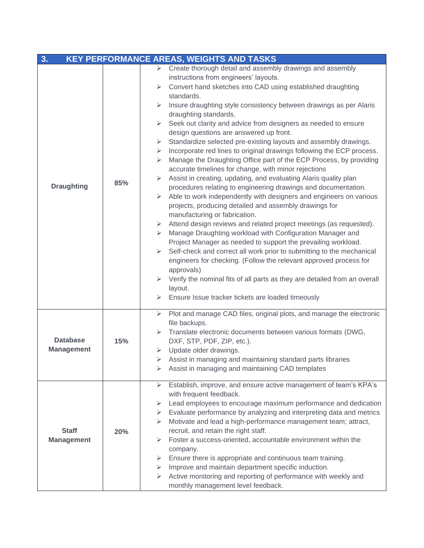| 3.<br><b>KEY PERFORMANCE AREAS, WEIGHTS AND TASKS</b> |     |                                                                                        |  |  |  |  |
|-------------------------------------------------------|-----|----------------------------------------------------------------------------------------|--|--|--|--|
|                                                       |     | $\triangleright$ Create thorough detail and assembly drawings and assembly             |  |  |  |  |
|                                                       |     | instructions from engineers' layouts.                                                  |  |  |  |  |
|                                                       |     | Convert hand sketches into CAD using established draughting<br>➤                       |  |  |  |  |
|                                                       |     | standards.                                                                             |  |  |  |  |
|                                                       |     | Insure draughting style consistency between drawings as per Alaris<br>≻                |  |  |  |  |
|                                                       |     | draughting standards.                                                                  |  |  |  |  |
|                                                       |     | $\triangleright$ Seek out clarity and advice from designers as needed to ensure        |  |  |  |  |
|                                                       |     | design questions are answered up front.                                                |  |  |  |  |
|                                                       |     | Standardize selected pre-existing layouts and assembly drawings.<br>➤                  |  |  |  |  |
|                                                       |     | Incorporate red lines to original drawings following the ECP process.<br>≻             |  |  |  |  |
|                                                       |     | Manage the Draughting Office part of the ECP Process, by providing<br>≻                |  |  |  |  |
|                                                       |     | accurate timelines for change, with minor rejections                                   |  |  |  |  |
|                                                       | 85% | Assist in creating, updating, and evaluating Alaris quality plan<br>≻                  |  |  |  |  |
| <b>Draughting</b>                                     |     | procedures relating to engineering drawings and documentation.                         |  |  |  |  |
|                                                       |     | Able to work independently with designers and engineers on various<br>➤                |  |  |  |  |
|                                                       |     | projects, producing detailed and assembly drawings for                                 |  |  |  |  |
|                                                       |     | manufacturing or fabrication.                                                          |  |  |  |  |
|                                                       |     | Attend design reviews and related project meetings (as requested).<br>➤                |  |  |  |  |
|                                                       |     | Manage Draughting workload with Configuration Manager and<br>➤                         |  |  |  |  |
|                                                       |     | Project Manager as needed to support the prevailing workload.                          |  |  |  |  |
|                                                       |     | $\triangleright$ Self-check and correct all work prior to submitting to the mechanical |  |  |  |  |
|                                                       |     | engineers for checking. (Follow the relevant approved process for                      |  |  |  |  |
|                                                       |     | approvals)                                                                             |  |  |  |  |
|                                                       |     | Verify the nominal fits of all parts as they are detailed from an overall<br>≻         |  |  |  |  |
|                                                       |     | layout.                                                                                |  |  |  |  |
|                                                       |     | $\triangleright$ Ensure Issue tracker tickets are loaded timeously                     |  |  |  |  |
|                                                       |     | Plot and manage CAD files, original plots, and manage the electronic<br>➤              |  |  |  |  |
|                                                       | 15% | file backups.                                                                          |  |  |  |  |
|                                                       |     | Translate electronic documents between various formats (DWG,<br>➤                      |  |  |  |  |
| <b>Database</b>                                       |     | DXF, STP, PDF, ZIP, etc.).                                                             |  |  |  |  |
| <b>Management</b>                                     |     | Update older drawings.<br>➤                                                            |  |  |  |  |
|                                                       |     | Assist in managing and maintaining standard parts libraries<br>➤                       |  |  |  |  |
|                                                       |     | Assist in managing and maintaining CAD templates<br>➤                                  |  |  |  |  |
|                                                       |     |                                                                                        |  |  |  |  |
|                                                       |     | Establish, improve, and ensure active management of team's KPA's<br>➤                  |  |  |  |  |
|                                                       |     | with frequent feedback.                                                                |  |  |  |  |
|                                                       |     | Lead employees to encourage maximum performance and dedication<br>➤                    |  |  |  |  |
|                                                       |     | Evaluate performance by analyzing and interpreting data and metrics<br>➤               |  |  |  |  |
|                                                       |     | Motivate and lead a high-performance management team; attract,<br>➤                    |  |  |  |  |
| <b>Staff</b>                                          | 20% | recruit, and retain the right staff.                                                   |  |  |  |  |
| <b>Management</b>                                     |     | Foster a success-oriented, accountable environment within the<br>➤                     |  |  |  |  |
|                                                       |     | company.                                                                               |  |  |  |  |
|                                                       |     | Ensure there is appropriate and continuous team training.<br>➤                         |  |  |  |  |
|                                                       |     | Improve and maintain department specific induction.<br>➤                               |  |  |  |  |
|                                                       |     | Active monitoring and reporting of performance with weekly and<br>➤                    |  |  |  |  |
|                                                       |     | monthly management level feedback.                                                     |  |  |  |  |